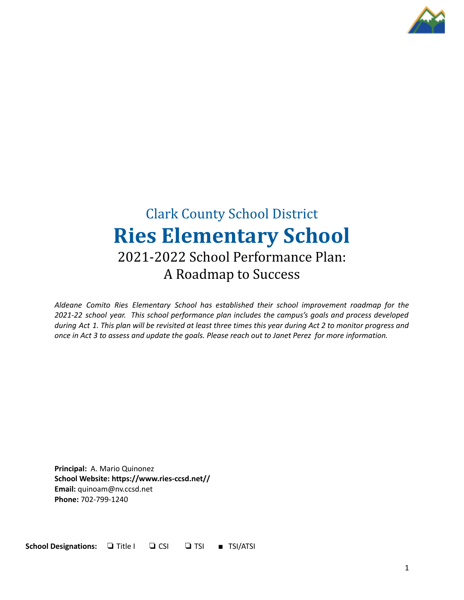

# Clark County School District **Ries Elementary School** 2021-2022 School Performance Plan: A Roadmap to Success

*Aldeane Comito Ries Elementary School has established their school improvement roadmap for the 2021-22 school year. This school performance plan includes the campus's goals and process developed* during Act 1. This plan will be revisited at least three times this year during Act 2 to monitor progress and once in Act 3 to assess and update the goals. Please reach out to Janet Perez for more information.

**Principal:** A. Mario Quinonez **School Website: https://www.ries-ccsd.net// Email:** quinoam@nv.ccsd.net **Phone:** 702-799-1240

**School Designations:** ❏ Title I ❏ CSI ❏ TSI ■ TSI/ATSI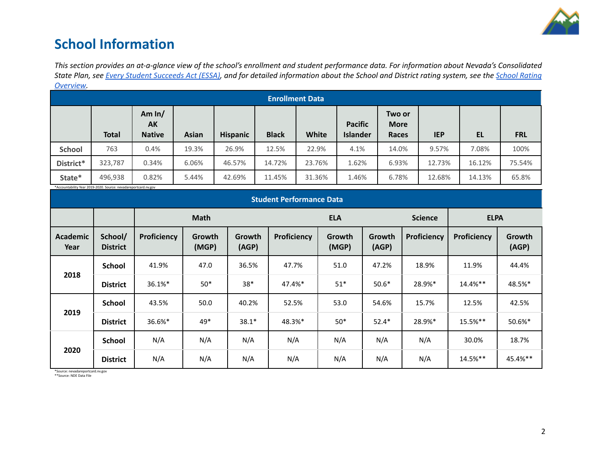

## **School Information**

This section provides an at-a-glance view of the school's enrollment and student performance data. For information about Nevada's Consolidated State Plan, see Every Student [Succeeds](https://doe.nv.gov/uploadedFiles/ndedoenvgov/content/Boards_Commissions_Councils/ESSA_Adv_Group/NevadaSubmittedConsolidatedPlanFinal.pdf) Act (ESSA), and for detailed information about the School and District rating system, see the School [Rating](http://nevadareportcard.nv.gov/DI/MoreDownload?filename=Nevadas%20School%20Rating%20System.pdf) *[Overview.](http://nevadareportcard.nv.gov/DI/MoreDownload?filename=Nevadas%20School%20Rating%20System.pdf)*

| ---------     |              |                                 |              |                 |              |                        |                                   |                                |            |        |            |
|---------------|--------------|---------------------------------|--------------|-----------------|--------------|------------------------|-----------------------------------|--------------------------------|------------|--------|------------|
|               |              |                                 |              |                 |              | <b>Enrollment Data</b> |                                   |                                |            |        |            |
|               | <b>Total</b> | Am $ln/$<br>AK<br><b>Native</b> | <b>Asian</b> | <b>Hispanic</b> | <b>Black</b> | White                  | <b>Pacific</b><br><b>Islander</b> | Two or<br><b>More</b><br>Races | <b>IEP</b> | EL     | <b>FRL</b> |
| <b>School</b> | 763          | 0.4%                            | 19.3%        | 26.9%           | 12.5%        | 22.9%                  | 4.1%                              | 14.0%                          | 9.57%      | 7.08%  | 100%       |
| District*     | 323,787      | 0.34%                           | 6.06%        | 46.57%          | 14.72%       | 23.76%                 | 1.62%                             | 6.93%                          | 12.73%     | 16.12% | 75.54%     |
| State*        | 496,938      | 0.82%                           | 5.44%        | 42.69%          | 11.45%       | 31.36%                 | 1.46%                             | 6.78%                          | 12.68%     | 14.13% | 65.8%      |

\*Accountability Year 2019-2020. Source: nevadareportcard.nv.gov

| Accountability ical 2015 2020. Source: ilevadareporteara.iiv.gov<br><b>Student Performance Data</b> |                            |             |                 |                 |             |                 |                 |                |             |                        |
|-----------------------------------------------------------------------------------------------------|----------------------------|-------------|-----------------|-----------------|-------------|-----------------|-----------------|----------------|-------------|------------------------|
|                                                                                                     |                            | <b>Math</b> |                 |                 | <b>ELA</b>  |                 |                 | <b>Science</b> | <b>ELPA</b> |                        |
| <b>Academic</b><br>Year                                                                             | School/<br><b>District</b> | Proficiency | Growth<br>(MGP) | Growth<br>(AGP) | Proficiency | Growth<br>(MGP) | Growth<br>(AGP) | Proficiency    | Proficiency | <b>Growth</b><br>(AGP) |
|                                                                                                     | School                     | 41.9%       | 47.0            | 36.5%           | 47.7%       | 51.0            | 47.2%           | 18.9%          | 11.9%       | 44.4%                  |
| 2018                                                                                                | <b>District</b>            | 36.1%*      | $50*$           | $38*$           | 47.4%*      | $51*$           | $50.6*$         | 28.9%*         | 14.4%**     | 48.5%*                 |
|                                                                                                     | <b>School</b>              | 43.5%       | 50.0            | 40.2%           | 52.5%       | 53.0            | 54.6%           | 15.7%          | 12.5%       | 42.5%                  |
| 2019                                                                                                | <b>District</b>            | 36.6%*      | 49*             | $38.1*$         | 48.3%*      | $50*$           | $52.4*$         | 28.9%*         | 15.5%**     | 50.6%*                 |
|                                                                                                     | <b>School</b>              | N/A         | N/A             | N/A             | N/A         | N/A             | N/A             | N/A            | 30.0%       | 18.7%                  |
| 2020                                                                                                | <b>District</b>            | N/A         | N/A             | N/A             | N/A         | N/A             | N/A             | N/A            | 14.5%**     | 45.4%**                |

\*Source: nevadareportcard.nv.gov \*\*Source: NDE Data File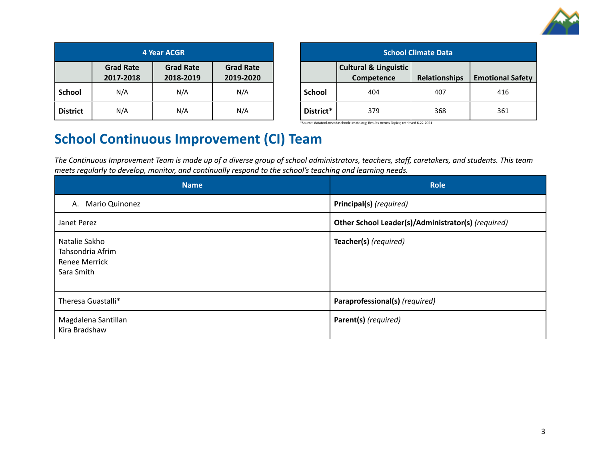

| <b>4 Year ACGR</b> |                               |                               |                               |  |
|--------------------|-------------------------------|-------------------------------|-------------------------------|--|
|                    | <b>Grad Rate</b><br>2017-2018 | <b>Grad Rate</b><br>2018-2019 | <b>Grad Rate</b><br>2019-2020 |  |
| <b>School</b>      | N/A                           | N/A                           | N/A                           |  |
| <b>District</b>    | N/A                           | N/A                           | N/A                           |  |

| <b>School Climate Data</b> |                                                |               |                         |  |  |
|----------------------------|------------------------------------------------|---------------|-------------------------|--|--|
|                            | <b>Cultural &amp; Linguistic</b><br>Competence | Relationships | <b>Emotional Safety</b> |  |  |
| <b>School</b>              | 404                                            | 407           | 416                     |  |  |
| District*                  | 379                                            | 368           | 361                     |  |  |

\*Source: datatool.nevadaschoolclimate.org; Results Across Topics; retrieved 6.22.2021

## **School Continuous Improvement (CI) Team**

The Continuous Improvement Team is made up of a diverse group of school administrators, teachers, staff, caretakers, and students. This team *meets regularly to develop, monitor, and continually respond to the school's teaching and learning needs.*

| <b>Name</b>                                                      | <b>Role</b>                                        |
|------------------------------------------------------------------|----------------------------------------------------|
| <b>Mario Quinonez</b><br>А.                                      | Principal(s) (required)                            |
| Janet Perez                                                      | Other School Leader(s)/Administrator(s) (required) |
| Natalie Sakho<br>Tahsondria Afrim<br>Renee Merrick<br>Sara Smith | Teacher(s) (required)                              |
| Theresa Guastalli*                                               | Paraprofessional(s) (required)                     |
| Magdalena Santillan<br>Kira Bradshaw                             | Parent(s) (required)                               |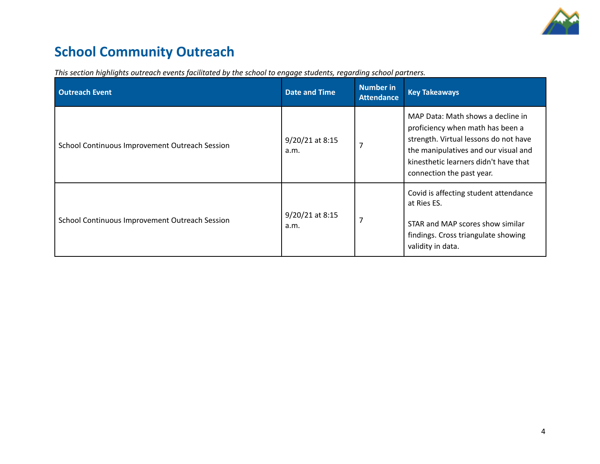

# **School Community Outreach**

| <b>Outreach Event</b>                          | <b>Date and Time</b>    | Number in<br><b>Attendance</b> | <b>Key Takeaways</b>                                                                                                                                                                                                         |
|------------------------------------------------|-------------------------|--------------------------------|------------------------------------------------------------------------------------------------------------------------------------------------------------------------------------------------------------------------------|
| School Continuous Improvement Outreach Session | 9/20/21 at 8:15<br>a.m. | $\overline{7}$                 | MAP Data: Math shows a decline in<br>proficiency when math has been a<br>strength. Virtual lessons do not have<br>the manipulatives and our visual and<br>kinesthetic learners didn't have that<br>connection the past year. |
| School Continuous Improvement Outreach Session | 9/20/21 at 8:15<br>a.m. | $\overline{7}$                 | Covid is affecting student attendance<br>at Ries ES.<br>STAR and MAP scores show similar<br>findings. Cross triangulate showing<br>validity in data.                                                                         |

*This section highlights outreach events facilitated by the school to engage students, regarding school partners.*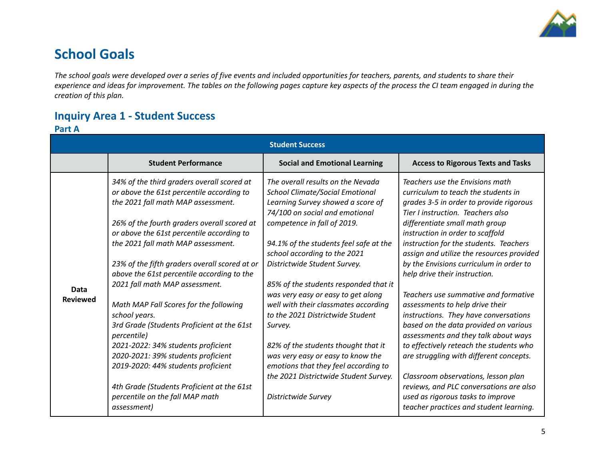

## **School Goals**

The school goals were developed over a series of five events and included opportunities for teachers, parents, and students to share their experience and ideas for improvement. The tables on the following pages capture key aspects of the process the CI team engaged in during the *creation of this plan.*

### **Inquiry Area 1 - Student Success**

#### **Part A**

|                                |                                                                                                                                                                                                                                                                                                                                                                                                                                                                                                                                                                                                                                                                                                                                                    | <b>Student Success</b>                                                                                                                                                                                                                                                                                                                                                                                                                                                                                                                                                                                                                                |                                                                                                                                                                                                                                                                                                                                                                                                                                                                                                                                                                                                                                                                                                                                                                                                                                                             |
|--------------------------------|----------------------------------------------------------------------------------------------------------------------------------------------------------------------------------------------------------------------------------------------------------------------------------------------------------------------------------------------------------------------------------------------------------------------------------------------------------------------------------------------------------------------------------------------------------------------------------------------------------------------------------------------------------------------------------------------------------------------------------------------------|-------------------------------------------------------------------------------------------------------------------------------------------------------------------------------------------------------------------------------------------------------------------------------------------------------------------------------------------------------------------------------------------------------------------------------------------------------------------------------------------------------------------------------------------------------------------------------------------------------------------------------------------------------|-------------------------------------------------------------------------------------------------------------------------------------------------------------------------------------------------------------------------------------------------------------------------------------------------------------------------------------------------------------------------------------------------------------------------------------------------------------------------------------------------------------------------------------------------------------------------------------------------------------------------------------------------------------------------------------------------------------------------------------------------------------------------------------------------------------------------------------------------------------|
|                                | <b>Student Performance</b>                                                                                                                                                                                                                                                                                                                                                                                                                                                                                                                                                                                                                                                                                                                         | <b>Social and Emotional Learning</b>                                                                                                                                                                                                                                                                                                                                                                                                                                                                                                                                                                                                                  | <b>Access to Rigorous Texts and Tasks</b>                                                                                                                                                                                                                                                                                                                                                                                                                                                                                                                                                                                                                                                                                                                                                                                                                   |
| <b>Data</b><br><b>Reviewed</b> | 34% of the third graders overall scored at<br>or above the 61st percentile according to<br>the 2021 fall math MAP assessment.<br>26% of the fourth graders overall scored at<br>or above the 61st percentile according to<br>the 2021 fall math MAP assessment.<br>23% of the fifth graders overall scored at or<br>above the 61st percentile according to the<br>2021 fall math MAP assessment.<br>Math MAP Fall Scores for the following<br>school years.<br>3rd Grade (Students Proficient at the 61st<br><i>percentile</i> )<br>2021-2022: 34% students proficient<br>2020-2021: 39% students proficient<br>2019-2020: 44% students proficient<br>4th Grade (Students Proficient at the 61st<br>percentile on the fall MAP math<br>assessment) | The overall results on the Nevada<br><b>School Climate/Social Emotional</b><br>Learning Survey showed a score of<br>74/100 on social and emotional<br>competence in fall of 2019.<br>94.1% of the students feel safe at the<br>school according to the 2021<br>Districtwide Student Survey.<br>85% of the students responded that it<br>was very easy or easy to get along<br>well with their classmates according<br>to the 2021 Districtwide Student<br>Survey.<br>82% of the students thought that it<br>was very easy or easy to know the<br>emotions that they feel according to<br>the 2021 Districtwide Student Survey.<br>Districtwide Survey | Teachers use the Envisions math<br>curriculum to teach the students in<br>grades 3-5 in order to provide rigorous<br>Tier Linstruction. Teachers also<br>differentiate small math group<br>instruction in order to scaffold<br>instruction for the students. Teachers<br>assign and utilize the resources provided<br>by the Envisions curriculum in order to<br>help drive their instruction.<br>Teachers use summative and formative<br>assessments to help drive their<br>instructions. They have conversations<br>based on the data provided on various<br>assessments and they talk about ways<br>to effectively reteach the students who<br>are struggling with different concepts.<br>Classroom observations, lesson plan<br>reviews, and PLC conversations are also<br>used as rigorous tasks to improve<br>teacher practices and student learning. |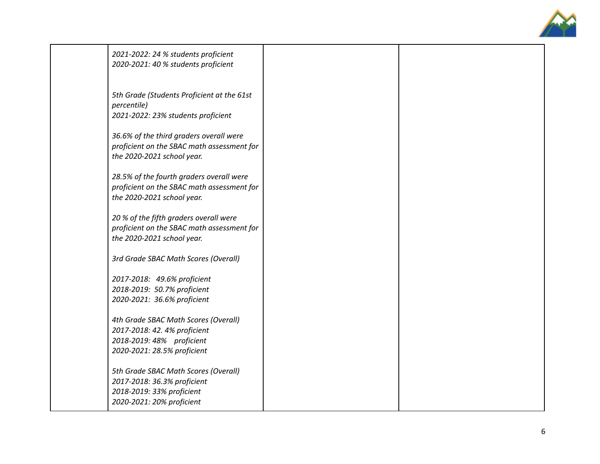

| 2021-2022: 24 % students proficient<br>2020-2021: 40 % students proficient                                                       |  |
|----------------------------------------------------------------------------------------------------------------------------------|--|
| 5th Grade (Students Proficient at the 61st<br>percentile)<br>2021-2022: 23% students proficient                                  |  |
| 36.6% of the third graders overall were<br>proficient on the SBAC math assessment for<br>the 2020-2021 school year.              |  |
| 28.5% of the fourth graders overall were<br>proficient on the SBAC math assessment for<br>the 2020-2021 school year.             |  |
| 20 % of the fifth graders overall were<br>proficient on the SBAC math assessment for<br>the 2020-2021 school year.               |  |
| 3rd Grade SBAC Math Scores (Overall)                                                                                             |  |
| 2017-2018: 49.6% proficient<br>2018-2019: 50.7% proficient<br>2020-2021: 36.6% proficient                                        |  |
| 4th Grade SBAC Math Scores (Overall)<br>2017-2018: 42. 4% proficient<br>2018-2019: 48% proficient<br>2020-2021: 28.5% proficient |  |
| 5th Grade SBAC Math Scores (Overall)<br>2017-2018: 36.3% proficient<br>2018-2019: 33% proficient<br>2020-2021: 20% proficient    |  |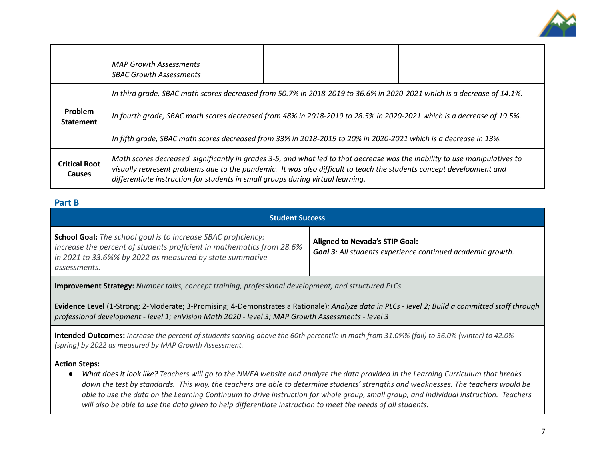

|                                       | <b>MAP Growth Assessments</b><br><b>SBAC Growth Assessments</b>                                                                                                                                                                                                                                                                       |  |  |  |  |  |
|---------------------------------------|---------------------------------------------------------------------------------------------------------------------------------------------------------------------------------------------------------------------------------------------------------------------------------------------------------------------------------------|--|--|--|--|--|
|                                       | In third grade, SBAC math scores decreased from 50.7% in 2018-2019 to 36.6% in 2020-2021 which is a decrease of 14.1%.                                                                                                                                                                                                                |  |  |  |  |  |
| <b>Problem</b><br><b>Statement</b>    | In fourth grade, SBAC math scores decreased from 48% in 2018-2019 to 28.5% in 2020-2021 which is a decrease of 19.5%.                                                                                                                                                                                                                 |  |  |  |  |  |
|                                       | In fifth grade, SBAC math scores decreased from 33% in 2018-2019 to 20% in 2020-2021 which is a decrease in 13%.                                                                                                                                                                                                                      |  |  |  |  |  |
| <b>Critical Root</b><br><b>Causes</b> | Math scores decreased significantly in grades 3-5, and what led to that decrease was the inability to use manipulatives to<br>visually represent problems due to the pandemic. It was also difficult to teach the students concept development and<br>differentiate instruction for students in small groups during virtual learning. |  |  |  |  |  |

#### **Part B**

| <b>Student Success</b>                                                                                                                                                                                                    |                                                                                                            |
|---------------------------------------------------------------------------------------------------------------------------------------------------------------------------------------------------------------------------|------------------------------------------------------------------------------------------------------------|
| <b>School Goal:</b> The school goal is to increase SBAC proficiency:<br>Increase the percent of students proficient in mathematics from 28.6%<br>in 2021 to 33.6%% by 2022 as measured by state summative<br>assessments. | <b>Aligned to Nevada's STIP Goal:</b><br><b>Goal 3:</b> All students experience continued academic growth. |

**Improvement Strategy:** *Number talks, concept training, professional development, and structured PLCs*

Evidence Level (1-Strong; 2-Moderate; 3-Promising; 4-Demonstrates a Rationale): Analyze data in PLCs - level 2; Build a committed staff through *professional development - level 1; enVision Math 2020 - level 3; MAP Growth Assessments - level 3*

**Intended Outcomes:** *Increase the percent of students scoring above the 60th percentile in math from 31.0%% (fall) to 36.0% (winter) to 42.0% (spring) by 2022 as measured by MAP Growth Assessment.*

#### **Action Steps:**

• What does it look like? Teachers will go to the NWEA website and analyze the data provided in the Learning Curriculum that breaks down the test by standards. This way, the teachers are able to determine students' strengths and weaknesses. The teachers would be able to use the data on the Learning Continuum to drive instruction for whole group, small group, and individual instruction. Teachers will also be able to use the data given to help differentiate instruction to meet the needs of all students.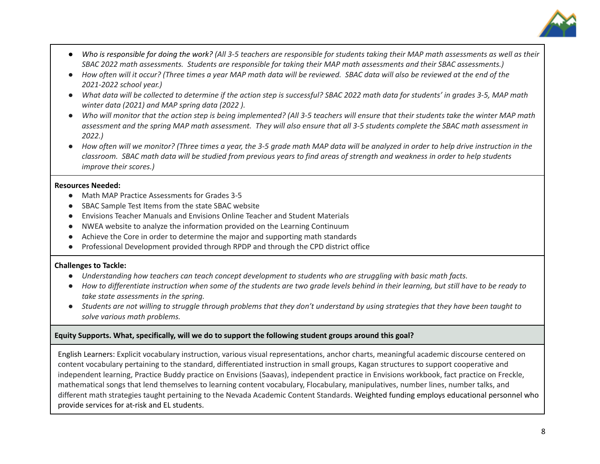

- Who is responsible for doing the work? (All 3-5 teachers are responsible for students taking their MAP math assessments as well as their SBAC 2022 math assessments. Students are responsible for taking their MAP math assessments and their SBAC assessments.)
- How often will it occur? (Three times a year MAP math data will be reviewed. SBAC data will also be reviewed at the end of the *2021-2022 school year.)*
- What data will be collected to determine if the action step is successful? SBAC 2022 math data for students' in grades 3-5, MAP math *winter data (2021) and MAP spring data (2022 ).*
- Who will monitor that the action step is being implemented? (All 3-5 teachers will ensure that their students take the winter MAP math assessment and the spring MAP math assessment. They will also ensure that all 3-5 students complete the SBAC math assessment in *2022.)*
- How often will we monitor? (Three times a year, the 3-5 grade math MAP data will be analyzed in order to help drive instruction in the classroom. SBAC math data will be studied from previous years to find areas of strength and weakness in order to help students *improve their scores.)*

#### **Resources Needed:**

- Math MAP Practice Assessments for Grades 3-5
- SBAC Sample Test Items from the state SBAC website
- Envisions Teacher Manuals and Envisions Online Teacher and Student Materials
- NWEA website to analyze the information provided on the Learning Continuum
- Achieve the Core in order to determine the major and supporting math standards
- Professional Development provided through RPDP and through the CPD district office

#### **Challenges to Tackle:**

- Understanding how teachers can teach concept development to students who are struggling with basic math facts.
- How to differentiate instruction when some of the students are two grade levels behind in their learning, but still have to be ready to *take state assessments in the spring.*
- Students are not willing to struggle through problems that they don't understand by using strategies that they have been taught to *solve various math problems.*

#### **Equity Supports. What, specifically, will we do to support the following student groups around this goal?**

English Learners: Explicit vocabulary instruction, various visual representations, anchor charts, meaningful academic discourse centered on content vocabulary pertaining to the standard, differentiated instruction in small groups, Kagan structures to support cooperative and independent learning, Practice Buddy practice on Envisions (Saavas), independent practice in Envisions workbook, fact practice on Freckle, mathematical songs that lend themselves to learning content vocabulary, Flocabulary, manipulatives, number lines, number talks, and different math strategies taught pertaining to the Nevada Academic Content Standards. Weighted funding employs educational personnel who provide services for at-risk and EL students.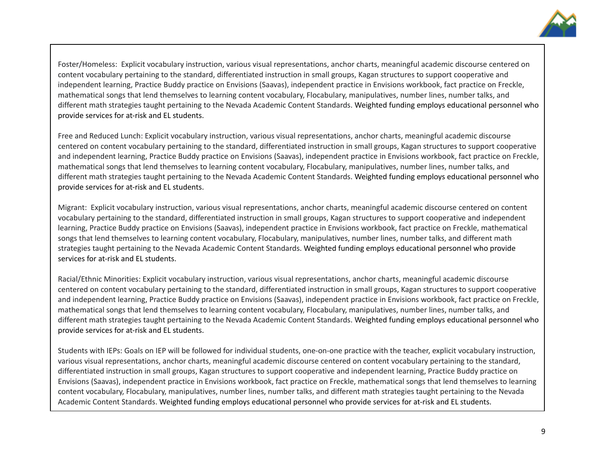

Foster/Homeless: Explicit vocabulary instruction, various visual representations, anchor charts, meaningful academic discourse centered on content vocabulary pertaining to the standard, differentiated instruction in small groups, Kagan structures to support cooperative and independent learning, Practice Buddy practice on Envisions (Saavas), independent practice in Envisions workbook, fact practice on Freckle, mathematical songs that lend themselves to learning content vocabulary, Flocabulary, manipulatives, number lines, number talks, and different math strategies taught pertaining to the Nevada Academic Content Standards. Weighted funding employs educational personnel who provide services for at-risk and EL students.

Free and Reduced Lunch: Explicit vocabulary instruction, various visual representations, anchor charts, meaningful academic discourse centered on content vocabulary pertaining to the standard, differentiated instruction in small groups, Kagan structures to support cooperative and independent learning, Practice Buddy practice on Envisions (Saavas), independent practice in Envisions workbook, fact practice on Freckle, mathematical songs that lend themselves to learning content vocabulary, Flocabulary, manipulatives, number lines, number talks, and different math strategies taught pertaining to the Nevada Academic Content Standards. Weighted funding employs educational personnel who provide services for at-risk and EL students.

Migrant: Explicit vocabulary instruction, various visual representations, anchor charts, meaningful academic discourse centered on content vocabulary pertaining to the standard, differentiated instruction in small groups, Kagan structures to support cooperative and independent learning, Practice Buddy practice on Envisions (Saavas), independent practice in Envisions workbook, fact practice on Freckle, mathematical songs that lend themselves to learning content vocabulary, Flocabulary, manipulatives, number lines, number talks, and different math strategies taught pertaining to the Nevada Academic Content Standards. Weighted funding employs educational personnel who provide services for at-risk and EL students.

Racial/Ethnic Minorities: Explicit vocabulary instruction, various visual representations, anchor charts, meaningful academic discourse centered on content vocabulary pertaining to the standard, differentiated instruction in small groups, Kagan structures to support cooperative and independent learning, Practice Buddy practice on Envisions (Saavas), independent practice in Envisions workbook, fact practice on Freckle, mathematical songs that lend themselves to learning content vocabulary, Flocabulary, manipulatives, number lines, number talks, and different math strategies taught pertaining to the Nevada Academic Content Standards. Weighted funding employs educational personnel who provide services for at-risk and EL students.

Students with IEPs: Goals on IEP will be followed for individual students, one-on-one practice with the teacher, explicit vocabulary instruction, various visual representations, anchor charts, meaningful academic discourse centered on content vocabulary pertaining to the standard, differentiated instruction in small groups, Kagan structures to support cooperative and independent learning, Practice Buddy practice on Envisions (Saavas), independent practice in Envisions workbook, fact practice on Freckle, mathematical songs that lend themselves to learning content vocabulary, Flocabulary, manipulatives, number lines, number talks, and different math strategies taught pertaining to the Nevada Academic Content Standards. Weighted funding employs educational personnel who provide services for at-risk and EL students.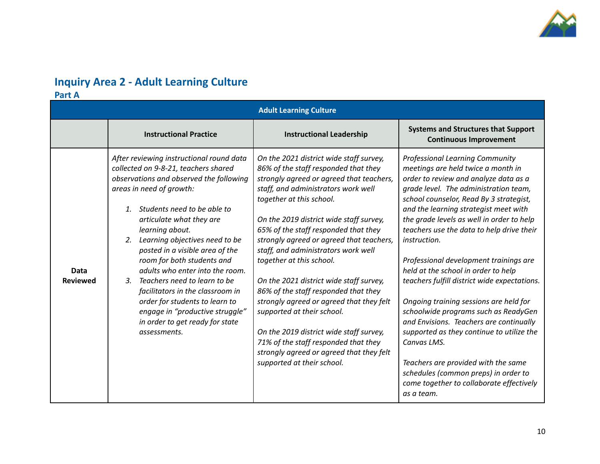

## **Inquiry Area 2 - Adult Learning Culture**

**Part A**

|                         |                                                                                                                                                                                                                                                                                                                                                                                                                                                                                                                                                                                                  | <b>Adult Learning Culture</b>                                                                                                                                                                                                                                                                                                                                                                                                                                                                                                                                                                                                                                                                                              |                                                                                                                                                                                                                                                                                                                                                                                                                                                                                                                                                                                                                                                                                                                                                                                                                                        |
|-------------------------|--------------------------------------------------------------------------------------------------------------------------------------------------------------------------------------------------------------------------------------------------------------------------------------------------------------------------------------------------------------------------------------------------------------------------------------------------------------------------------------------------------------------------------------------------------------------------------------------------|----------------------------------------------------------------------------------------------------------------------------------------------------------------------------------------------------------------------------------------------------------------------------------------------------------------------------------------------------------------------------------------------------------------------------------------------------------------------------------------------------------------------------------------------------------------------------------------------------------------------------------------------------------------------------------------------------------------------------|----------------------------------------------------------------------------------------------------------------------------------------------------------------------------------------------------------------------------------------------------------------------------------------------------------------------------------------------------------------------------------------------------------------------------------------------------------------------------------------------------------------------------------------------------------------------------------------------------------------------------------------------------------------------------------------------------------------------------------------------------------------------------------------------------------------------------------------|
|                         | <b>Instructional Practice</b>                                                                                                                                                                                                                                                                                                                                                                                                                                                                                                                                                                    | <b>Instructional Leadership</b>                                                                                                                                                                                                                                                                                                                                                                                                                                                                                                                                                                                                                                                                                            | <b>Systems and Structures that Support</b><br><b>Continuous Improvement</b>                                                                                                                                                                                                                                                                                                                                                                                                                                                                                                                                                                                                                                                                                                                                                            |
| Data<br><b>Reviewed</b> | After reviewing instructional round data<br>collected on 9-8-21, teachers shared<br>observations and observed the following<br>areas in need of growth:<br>Students need to be able to<br>$\mathbf{1}$<br>articulate what they are<br>learning about.<br>Learning objectives need to be<br>2.<br>posted in a visible area of the<br>room for both students and<br>adults who enter into the room.<br>3. Teachers need to learn to be<br>facilitators in the classroom in<br>order for students to learn to<br>engage in "productive struggle"<br>in order to get ready for state<br>assessments. | On the 2021 district wide staff survey,<br>86% of the staff responded that they<br>strongly agreed or agreed that teachers,<br>staff, and administrators work well<br>together at this school.<br>On the 2019 district wide staff survey,<br>65% of the staff responded that they<br>strongly agreed or agreed that teachers,<br>staff, and administrators work well<br>together at this school.<br>On the 2021 district wide staff survey,<br>86% of the staff responded that they<br>strongly agreed or agreed that they felt<br>supported at their school.<br>On the 2019 district wide staff survey,<br>71% of the staff responded that they<br>strongly agreed or agreed that they felt<br>supported at their school. | <b>Professional Learning Community</b><br>meetings are held twice a month in<br>order to review and analyze data as a<br>grade level. The administration team,<br>school counselor, Read By 3 strategist,<br>and the learning strategist meet with<br>the grade levels as well in order to help<br>teachers use the data to help drive their<br><i>instruction.</i><br>Professional development trainings are<br>held at the school in order to help<br>teachers fulfill district wide expectations.<br>Ongoing training sessions are held for<br>schoolwide programs such as ReadyGen<br>and Envisions. Teachers are continually<br>supported as they continue to utilize the<br>Canvas LMS.<br>Teachers are provided with the same<br>schedules (common preps) in order to<br>come together to collaborate effectively<br>as a team. |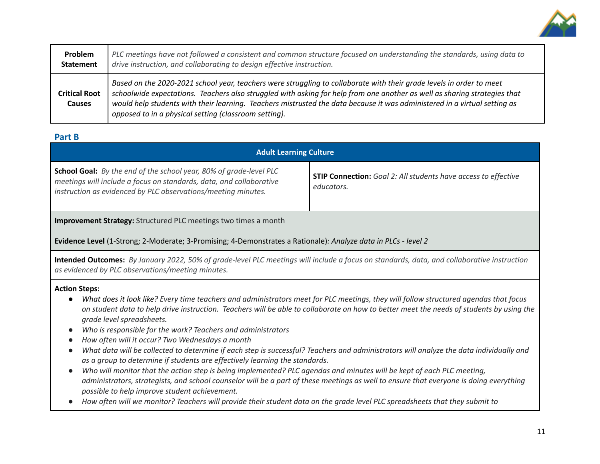

| Problem                               | PLC meetings have not followed a consistent and common structure focused on understanding the standards, using data to                                                                                                                                                                                                                                                                                                                  |
|---------------------------------------|-----------------------------------------------------------------------------------------------------------------------------------------------------------------------------------------------------------------------------------------------------------------------------------------------------------------------------------------------------------------------------------------------------------------------------------------|
| <b>Statement</b>                      | drive instruction, and collaborating to design effective instruction.                                                                                                                                                                                                                                                                                                                                                                   |
| <b>Critical Root</b><br><b>Causes</b> | Based on the 2020-2021 school year, teachers were struggling to collaborate with their grade levels in order to meet<br>schoolwide expectations. Teachers also struggled with asking for help from one another as well as sharing strategies that<br>would help students with their learning. Teachers mistrusted the data because it was administered in a virtual setting as<br>opposed to in a physical setting (classroom setting). |

#### **Part B**

| <b>Adult Learning Culture</b>                                                                                                                                                                                     |                                                                                     |  |
|-------------------------------------------------------------------------------------------------------------------------------------------------------------------------------------------------------------------|-------------------------------------------------------------------------------------|--|
| <b>School Goal:</b> By the end of the school year, 80% of grade-level PLC<br>meetings will include a focus on standards, data, and collaborative<br>instruction as evidenced by PLC observations/meeting minutes. | <b>STIP Connection:</b> Goal 2: All students have access to effective<br>educators. |  |

**Improvement Strategy:** Structured PLC meetings two times a month

**Evidence Level** (1-Strong; 2-Moderate; 3-Promising; 4-Demonstrates a Rationale)*: Analyze data in PLCs - level 2*

Intended Outcomes: By January 2022, 50% of grade-level PLC meetings will include a focus on standards, data, and collaborative instruction *as evidenced by PLC observations/meeting minutes.*

#### **Action Steps:**

- What does it look like? Every time teachers and administrators meet for PLC meetings, they will follow structured agendas that focus on student data to help drive instruction. Teachers will be able to collaborate on how to better meet the needs of students by using the *grade level spreadsheets.*
- *● Who is responsible for the work? Teachers and administrators*
- *● How often will it occur? Two Wednesdays a month*
- What data will be collected to determine if each step is successful? Teachers and administrators will analyze the data individually and *as a group to determine if students are effectively learning the standards.*
- Who will monitor that the action step is being implemented? PLC agendas and minutes will be kept of each PLC meeting, administrators, strategists, and school counselor will be a part of these meetings as well to ensure that everyone is doing everything *possible to help improve student achievement.*
- How often will we monitor? Teachers will provide their student data on the grade level PLC spreadsheets that they submit to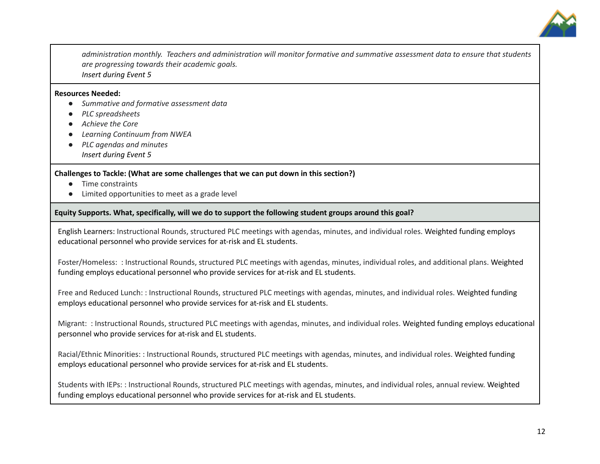

administration monthly. Teachers and administration will monitor formative and summative assessment data to ensure that students *are progressing towards their academic goals. Insert during Event 5*

#### **Resources Needed:**

- **●** *Summative and formative assessment data*
- **●** *PLC spreadsheets*
- **●** *Achieve the Core*
- **●** *Learning Continuum from NWEA*
- **●** *PLC agendas and minutes Insert during Event 5*

#### **Challenges to Tackle: (What are some challenges that we can put down in this section?)**

- Time constraints
- Limited opportunities to meet as a grade level

#### **Equity Supports. What, specifically, will we do to support the following student groups around this goal?**

English Learners: Instructional Rounds, structured PLC meetings with agendas, minutes, and individual roles. Weighted funding employs educational personnel who provide services for at-risk and EL students.

Foster/Homeless: : Instructional Rounds, structured PLC meetings with agendas, minutes, individual roles, and additional plans. Weighted funding employs educational personnel who provide services for at-risk and EL students.

Free and Reduced Lunch: : Instructional Rounds, structured PLC meetings with agendas, minutes, and individual roles. Weighted funding employs educational personnel who provide services for at-risk and EL students.

Migrant: : Instructional Rounds, structured PLC meetings with agendas, minutes, and individual roles. Weighted funding employs educational personnel who provide services for at-risk and EL students.

Racial/Ethnic Minorities: : Instructional Rounds, structured PLC meetings with agendas, minutes, and individual roles. Weighted funding employs educational personnel who provide services for at-risk and EL students.

Students with IEPs: : Instructional Rounds, structured PLC meetings with agendas, minutes, and individual roles, annual review. Weighted funding employs educational personnel who provide services for at-risk and EL students.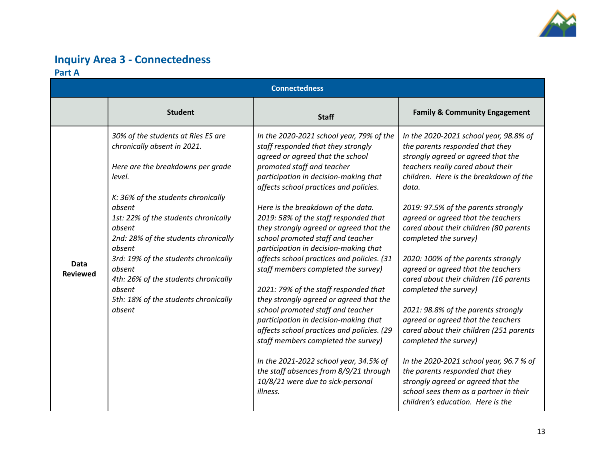

### **Inquiry Area 3 - Connectedness Part A**

| <b>Connectedness</b>    |                                                                                                                                                                                                                                                                                                                                                                                                                            |                                                                                                                                                                                                                                                                                                                                                                                                                                                                                                                                                                                                                                                                                                                                                                                                                                                                                                                              |                                                                                                                                                                                                                                                                                                                                                                                                                                                                                                                                                                                                                                                                                                                                                                                                                                                            |
|-------------------------|----------------------------------------------------------------------------------------------------------------------------------------------------------------------------------------------------------------------------------------------------------------------------------------------------------------------------------------------------------------------------------------------------------------------------|------------------------------------------------------------------------------------------------------------------------------------------------------------------------------------------------------------------------------------------------------------------------------------------------------------------------------------------------------------------------------------------------------------------------------------------------------------------------------------------------------------------------------------------------------------------------------------------------------------------------------------------------------------------------------------------------------------------------------------------------------------------------------------------------------------------------------------------------------------------------------------------------------------------------------|------------------------------------------------------------------------------------------------------------------------------------------------------------------------------------------------------------------------------------------------------------------------------------------------------------------------------------------------------------------------------------------------------------------------------------------------------------------------------------------------------------------------------------------------------------------------------------------------------------------------------------------------------------------------------------------------------------------------------------------------------------------------------------------------------------------------------------------------------------|
|                         | <b>Student</b>                                                                                                                                                                                                                                                                                                                                                                                                             | <b>Staff</b>                                                                                                                                                                                                                                                                                                                                                                                                                                                                                                                                                                                                                                                                                                                                                                                                                                                                                                                 | <b>Family &amp; Community Engagement</b>                                                                                                                                                                                                                                                                                                                                                                                                                                                                                                                                                                                                                                                                                                                                                                                                                   |
| Data<br><b>Reviewed</b> | 30% of the students at Ries ES are<br>chronically absent in 2021.<br>Here are the breakdowns per grade<br>level.<br>K: 36% of the students chronically<br>absent<br>1st: 22% of the students chronically<br>absent<br>2nd: 28% of the students chronically<br>absent<br>3rd: 19% of the students chronically<br>absent<br>4th: 26% of the students chronically<br>absent<br>5th: 18% of the students chronically<br>absent | In the 2020-2021 school year, 79% of the<br>staff responded that they strongly<br>agreed or agreed that the school<br>promoted staff and teacher<br>participation in decision-making that<br>affects school practices and policies.<br>Here is the breakdown of the data.<br>2019: 58% of the staff responded that<br>they strongly agreed or agreed that the<br>school promoted staff and teacher<br>participation in decision-making that<br>affects school practices and policies. (31<br>staff members completed the survey)<br>2021: 79% of the staff responded that<br>they strongly agreed or agreed that the<br>school promoted staff and teacher<br>participation in decision-making that<br>affects school practices and policies. (29<br>staff members completed the survey)<br>In the 2021-2022 school year, 34.5% of<br>the staff absences from 8/9/21 through<br>10/8/21 were due to sick-personal<br>illness. | In the 2020-2021 school year, 98.8% of<br>the parents responded that they<br>strongly agreed or agreed that the<br>teachers really cared about their<br>children. Here is the breakdown of the<br>data.<br>2019: 97.5% of the parents strongly<br>agreed or agreed that the teachers<br>cared about their children (80 parents<br>completed the survey)<br>2020: 100% of the parents strongly<br>agreed or agreed that the teachers<br>cared about their children (16 parents<br>completed the survey)<br>2021: 98.8% of the parents strongly<br>agreed or agreed that the teachers<br>cared about their children (251 parents<br>completed the survey)<br>In the 2020-2021 school year, 96.7 % of<br>the parents responded that they<br>strongly agreed or agreed that the<br>school sees them as a partner in their<br>children's education. Here is the |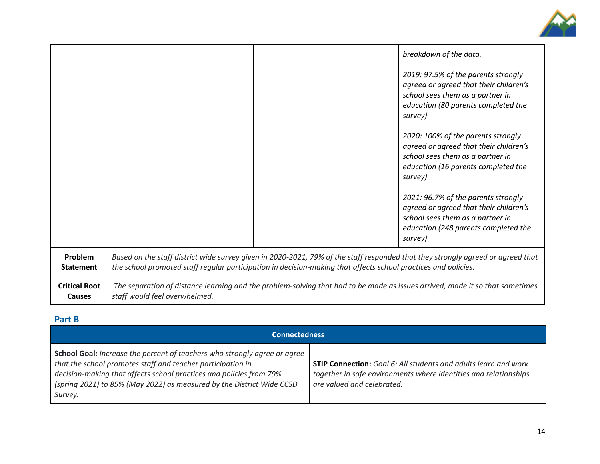

|                                       |                                                                                                                                                                                                                                                   |                                                                                                                              | breakdown of the data.                                                                                                                                               |
|---------------------------------------|---------------------------------------------------------------------------------------------------------------------------------------------------------------------------------------------------------------------------------------------------|------------------------------------------------------------------------------------------------------------------------------|----------------------------------------------------------------------------------------------------------------------------------------------------------------------|
|                                       |                                                                                                                                                                                                                                                   |                                                                                                                              | 2019: 97.5% of the parents strongly<br>agreed or agreed that their children's<br>school sees them as a partner in<br>education (80 parents completed the<br>survey)  |
|                                       |                                                                                                                                                                                                                                                   |                                                                                                                              | 2020: 100% of the parents strongly<br>agreed or agreed that their children's<br>school sees them as a partner in<br>education (16 parents completed the<br>survey)   |
|                                       |                                                                                                                                                                                                                                                   |                                                                                                                              | 2021: 96.7% of the parents strongly<br>agreed or agreed that their children's<br>school sees them as a partner in<br>education (248 parents completed the<br>survey) |
| Problem<br><b>Statement</b>           | Based on the staff district wide survey given in 2020-2021, 79% of the staff responded that they strongly agreed or agreed that<br>the school promoted staff regular participation in decision-making that affects school practices and policies. |                                                                                                                              |                                                                                                                                                                      |
| <b>Critical Root</b><br><b>Causes</b> | staff would feel overwhelmed.                                                                                                                                                                                                                     | The separation of distance learning and the problem-solving that had to be made as issues arrived, made it so that sometimes |                                                                                                                                                                      |

### **Part B**

| <b>Connectedness</b>                                                                                                                                                                                                                                                                                       |                                                                                                                                                                          |  |
|------------------------------------------------------------------------------------------------------------------------------------------------------------------------------------------------------------------------------------------------------------------------------------------------------------|--------------------------------------------------------------------------------------------------------------------------------------------------------------------------|--|
| <b>School Goal:</b> Increase the percent of teachers who strongly agree or agree<br>that the school promotes staff and teacher participation in<br>decision-making that affects school practices and policies from 79%<br>(spring 2021) to 85% (May 2022) as measured by the District Wide CCSD<br>Survey. | <b>STIP Connection:</b> Goal 6: All students and adults learn and work<br>together in safe environments where identities and relationships<br>are valued and celebrated. |  |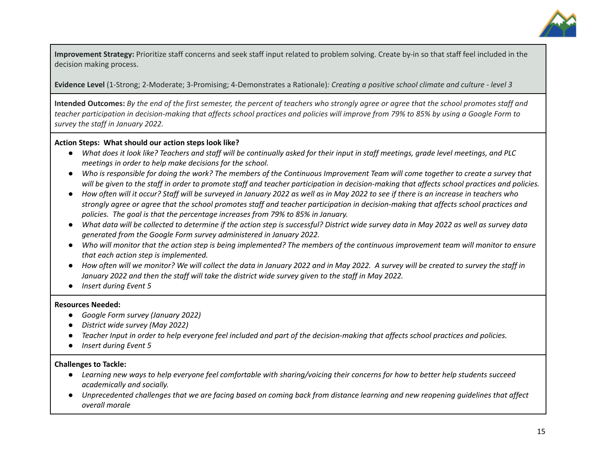

**Improvement Strategy:** Prioritize staff concerns and seek staff input related to problem solving. Create by-in so that staff feel included in the decision making process.

**Evidence Level** (1-Strong; 2-Moderate; 3-Promising; 4-Demonstrates a Rationale): Creating a positive school climate and culture - level 3

Intended Outcomes: By the end of the first semester, the percent of teachers who strongly agree or agree that the school promotes staff and teacher participation in decision-making that affects school practices and policies will improve from 79% to 85% by using a Google Form to *survey the staff in January 2022.*

#### **Action Steps: What should our action steps look like?**

- What does it look like? Teachers and staff will be continually asked for their input in staff meetings, grade level meetings, and PLC *meetings in order to help make decisions for the school.*
- Who is responsible for doing the work? The members of the Continuous Improvement Team will come together to create a survey that will be given to the staff in order to promote staff and teacher participation in decision-making that affects school practices and policies.
- How often will it occur? Staff will be surveyed in January 2022 as well as in May 2022 to see if there is an increase in teachers who strongly agree or agree that the school promotes staff and teacher participation in decision-making that affects school practices and *policies. The goal is that the percentage increases from 79% to 85% in January.*
- What data will be collected to determine if the action step is successful? District wide survey data in May 2022 as well as survey data *generated from the Google Form survey administered in January 2022.*
- Who will monitor that the action step is being implemented? The members of the continuous improvement team will monitor to ensure *that each action step is implemented.*
- How often will we monitor? We will collect the data in January 2022 and in May 2022. A survey will be created to survey the staff in January 2022 and then the staff will take the district wide survey given to the staff in May 2022.
- *● Insert during Event 5*

#### **Resources Needed:**

- **●** *Google Form survey (January 2022)*
- *● District wide survey (May 2022)*
- Teacher Input in order to help everyone feel included and part of the decision-making that affects school practices and policies.
- **●** *Insert during Event 5*

#### **Challenges to Tackle:**

- Learning new ways to help everyone feel comfortable with sharing/voicing their concerns for how to better help students succeed *academically and socially.*
- Unprecedented challenges that we are facing based on coming back from distance learning and new reopening quidelines that affect *overall morale*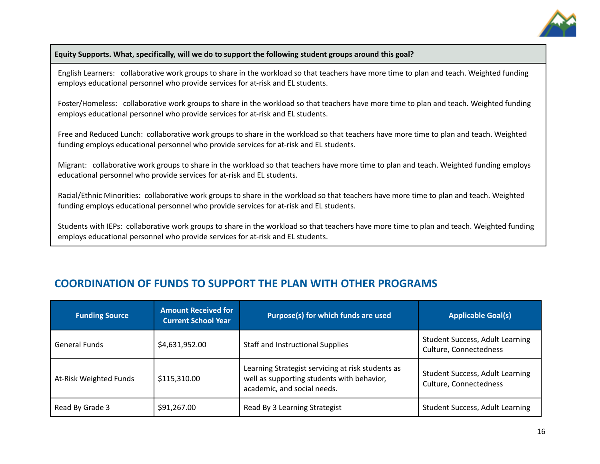

#### **Equity Supports. What, specifically, will we do to support the following student groups around this goal?**

English Learners: collaborative work groups to share in the workload so that teachers have more time to plan and teach. Weighted funding employs educational personnel who provide services for at-risk and EL students.

Foster/Homeless: collaborative work groups to share in the workload so that teachers have more time to plan and teach. Weighted funding employs educational personnel who provide services for at-risk and EL students.

Free and Reduced Lunch: collaborative work groups to share in the workload so that teachers have more time to plan and teach. Weighted funding employs educational personnel who provide services for at-risk and EL students.

Migrant: collaborative work groups to share in the workload so that teachers have more time to plan and teach. Weighted funding employs educational personnel who provide services for at-risk and EL students.

Racial/Ethnic Minorities: collaborative work groups to share in the workload so that teachers have more time to plan and teach. Weighted funding employs educational personnel who provide services for at-risk and EL students.

Students with IEPs: collaborative work groups to share in the workload so that teachers have more time to plan and teach. Weighted funding employs educational personnel who provide services for at-risk and EL students.

### **COORDINATION OF FUNDS TO SUPPORT THE PLAN WITH OTHER PROGRAMS**

| <b>Funding Source</b>  | <b>Amount Received for</b><br><b>Current School Year</b> | Purpose(s) for which funds are used                                                                                            | <b>Applicable Goal(s)</b>                                        |
|------------------------|----------------------------------------------------------|--------------------------------------------------------------------------------------------------------------------------------|------------------------------------------------------------------|
| <b>General Funds</b>   | \$4,631,952.00                                           | <b>Staff and Instructional Supplies</b>                                                                                        | <b>Student Success, Adult Learning</b><br>Culture, Connectedness |
| At-Risk Weighted Funds | \$115,310.00                                             | Learning Strategist servicing at risk students as<br>well as supporting students with behavior,<br>academic, and social needs. | <b>Student Success, Adult Learning</b><br>Culture, Connectedness |
| Read By Grade 3        | \$91,267.00                                              | Read By 3 Learning Strategist                                                                                                  | <b>Student Success, Adult Learning</b>                           |